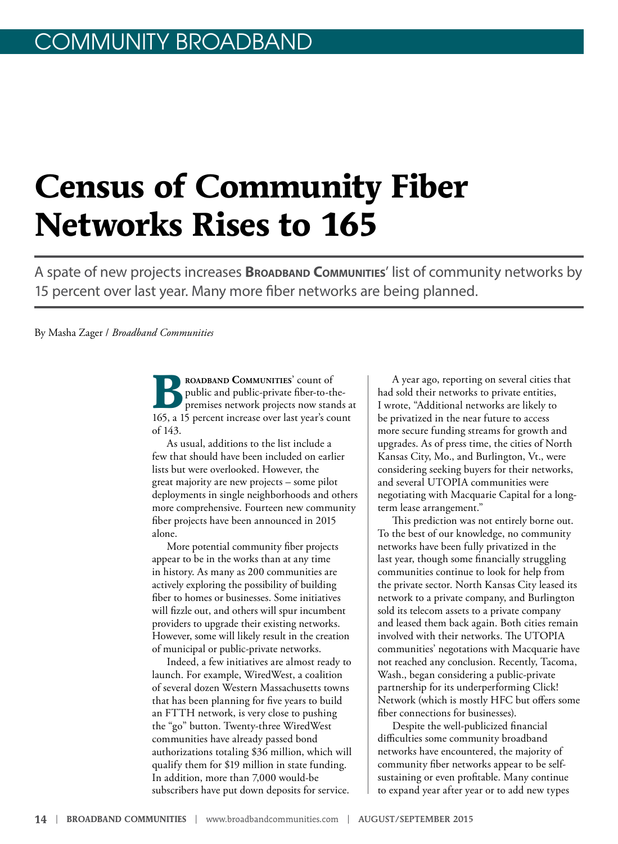# **Census of Community Fiber Networks Rises to 165**

A spate of new projects increases **BROADBAND COMMUNITIES'** list of community networks by 15 percent over last year. Many more fiber networks are being planned.

By Masha Zager / *Broadband Communities*

**Broadband Communities**' count of public and public-private fiber-to-thepremises network projects now stands at 165, a 15 percent increase over last year's count of 143.

As usual, additions to the list include a few that should have been included on earlier lists but were overlooked. However, the great majority are new projects – some pilot deployments in single neighborhoods and others more comprehensive. Fourteen new community fiber projects have been announced in 2015 alone.

More potential community fiber projects appear to be in the works than at any time in history. As many as 200 communities are actively exploring the possibility of building fiber to homes or businesses. Some initiatives will fizzle out, and others will spur incumbent providers to upgrade their existing networks. However, some will likely result in the creation of municipal or public-private networks.

Indeed, a few initiatives are almost ready to launch. For example, WiredWest, a coalition of several dozen Western Massachusetts towns that has been planning for five years to build an FTTH network, is very close to pushing the "go" button. Twenty-three WiredWest communities have already passed bond authorizations totaling \$36 million, which will qualify them for \$19 million in state funding. In addition, more than 7,000 would-be subscribers have put down deposits for service.

A year ago, reporting on several cities that had sold their networks to private entities, I wrote, "Additional networks are likely to be privatized in the near future to access more secure funding streams for growth and upgrades. As of press time, the cities of North Kansas City, Mo., and Burlington, Vt., were considering seeking buyers for their networks, and several UTOPIA communities were negotiating with Macquarie Capital for a longterm lease arrangement."

This prediction was not entirely borne out. To the best of our knowledge, no community networks have been fully privatized in the last year, though some financially struggling communities continue to look for help from the private sector. North Kansas City leased its network to a private company, and Burlington sold its telecom assets to a private company and leased them back again. Both cities remain involved with their networks. The UTOPIA communities' negotations with Macquarie have not reached any conclusion. Recently, Tacoma, Wash., began considering a public-private partnership for its underperforming Click! Network (which is mostly HFC but offers some fiber connections for businesses).

Despite the well-publicized financial difficulties some community broadband networks have encountered, the majority of community fiber networks appear to be selfsustaining or even profitable. Many continue to expand year after year or to add new types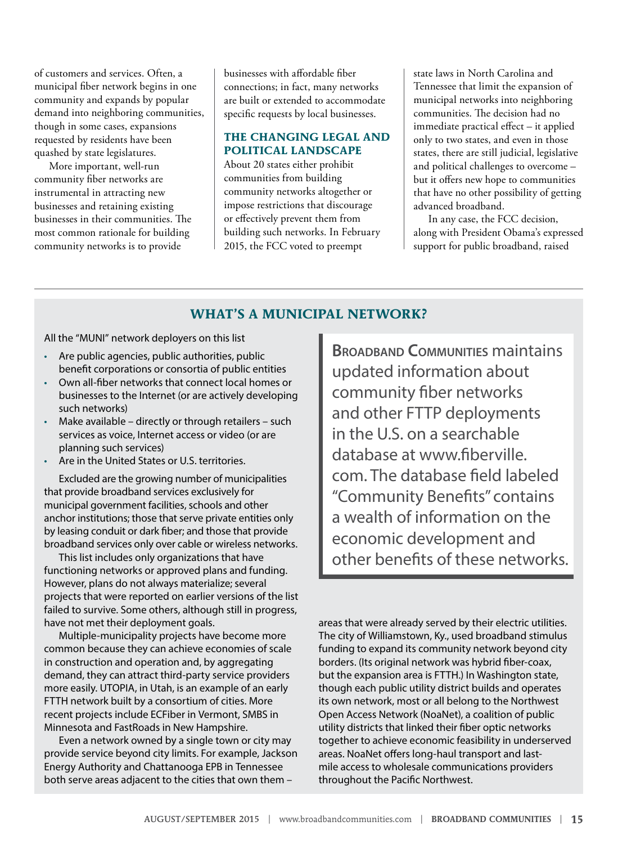of customers and services. Often, a municipal fiber network begins in one community and expands by popular demand into neighboring communities, though in some cases, expansions requested by residents have been quashed by state legislatures.

More important, well-run community fiber networks are instrumental in attracting new businesses and retaining existing businesses in their communities. The most common rationale for building community networks is to provide

businesses with affordable fiber connections; in fact, many networks are built or extended to accommodate specific requests by local businesses.

### **THE CHANGING LEGAL AND POLITICAL LANDSCAPE**

About 20 states either prohibit communities from building community networks altogether or impose restrictions that discourage or effectively prevent them from building such networks. In February 2015, the FCC voted to preempt

state laws in North Carolina and Tennessee that limit the expansion of municipal networks into neighboring communities. The decision had no immediate practical effect – it applied only to two states, and even in those states, there are still judicial, legislative and political challenges to overcome – but it offers new hope to communities that have no other possibility of getting advanced broadband.

In any case, the FCC decision, along with President Obama's expressed support for public broadband, raised

### **WHAT'S A MUNICIPAL NETWORK?**

All the "MUNI" network deployers on this list

- Are public agencies, public authorities, public benefit corporations or consortia of public entities
- Own all-fiber networks that connect local homes or businesses to the Internet (or are actively developing such networks)
- Make available directly or through retailers such services as voice, Internet access or video (or are planning such services)
- Are in the United States or U.S. territories.

Excluded are the growing number of municipalities that provide broadband services exclusively for municipal government facilities, schools and other anchor institutions; those that serve private entities only by leasing conduit or dark fiber; and those that provide broadband services only over cable or wireless networks.

This list includes only organizations that have functioning networks or approved plans and funding. However, plans do not always materialize; several projects that were reported on earlier versions of the list failed to survive. Some others, although still in progress, have not met their deployment goals.

Multiple-municipality projects have become more common because they can achieve economies of scale in construction and operation and, by aggregating demand, they can attract third-party service providers more easily. UTOPIA, in Utah, is an example of an early FTTH network built by a consortium of cities. More recent projects include ECFiber in Vermont, SMBS in Minnesota and FastRoads in New Hampshire.

Even a network owned by a single town or city may provide service beyond city limits. For example, Jackson Energy Authority and Chattanooga EPB in Tennessee both serve areas adjacent to the cities that own them –

**BROADBAND COMMUNITIES Maintains** updated information about community fiber networks and other FTTP deployments in the U.S. on a searchable database at [www.fiberville.](http://www.fiberville.com) [com.](http://www.fiberville.com) The database field labeled "Community Benefits" contains a wealth of information on the economic development and other benefits of these networks.

areas that were already served by their electric utilities. The city of Williamstown, Ky., used broadband stimulus funding to expand its community network beyond city borders. (Its original network was hybrid fiber-coax, but the expansion area is FTTH.) In Washington state, though each public utility district builds and operates its own network, most or all belong to the Northwest Open Access Network (NoaNet), a coalition of public utility districts that linked their fiber optic networks together to achieve economic feasibility in underserved areas. NoaNet offers long-haul transport and lastmile access to wholesale communications providers throughout the Pacific Northwest.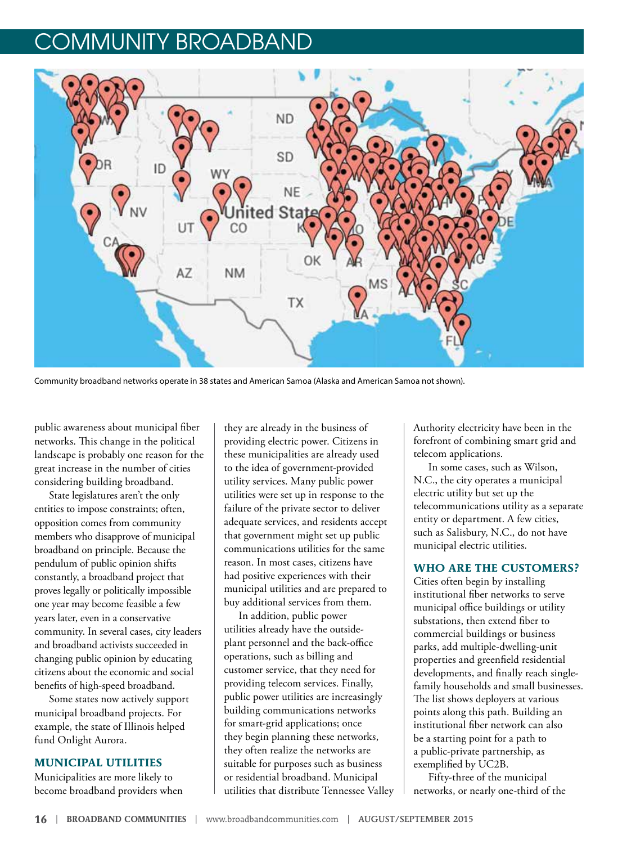

Community broadband networks operate in 38 states and American Samoa (Alaska and American Samoa not shown).

public awareness about municipal fiber networks. This change in the political landscape is probably one reason for the great increase in the number of cities considering building broadband.

State legislatures aren't the only entities to impose constraints; often, opposition comes from community members who disapprove of municipal broadband on principle. Because the pendulum of public opinion shifts constantly, a broadband project that proves legally or politically impossible one year may become feasible a few years later, even in a conservative community. In several cases, city leaders and broadband activists succeeded in changing public opinion by educating citizens about the economic and social benefits of high-speed broadband.

Some states now actively support municipal broadband projects. For example, the state of Illinois helped fund Onlight Aurora.

#### **MUNICIPAL UTILITIES**

Municipalities are more likely to become broadband providers when

they are already in the business of providing electric power. Citizens in these municipalities are already used to the idea of government-provided utility services. Many public power utilities were set up in response to the failure of the private sector to deliver adequate services, and residents accept that government might set up public communications utilities for the same reason. In most cases, citizens have had positive experiences with their municipal utilities and are prepared to buy additional services from them.

In addition, public power utilities already have the outsideplant personnel and the back-office operations, such as billing and customer service, that they need for providing telecom services. Finally, public power utilities are increasingly building communications networks for smart-grid applications; once they begin planning these networks, they often realize the networks are suitable for purposes such as business or residential broadband. Municipal utilities that distribute Tennessee Valley Authority electricity have been in the forefront of combining smart grid and telecom applications.

In some cases, such as Wilson, N.C., the city operates a municipal electric utility but set up the telecommunications utility as a separate entity or department. A few cities, such as Salisbury, N.C., do not have municipal electric utilities.

#### **WHO ARE THE CUSTOMERS?**

Cities often begin by installing institutional fiber networks to serve municipal office buildings or utility substations, then extend fiber to commercial buildings or business parks, add multiple-dwelling-unit properties and greenfield residential developments, and finally reach singlefamily households and small businesses. The list shows deployers at various points along this path. Building an institutional fiber network can also be a starting point for a path to a public-private partnership, as exemplified by UC2B.

Fifty-three of the municipal networks, or nearly one-third of the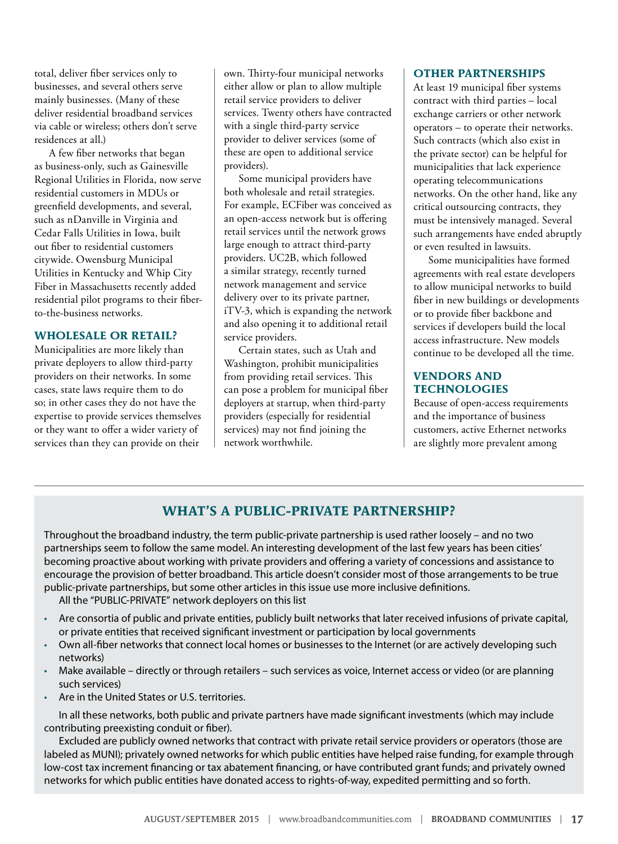total, deliver fiber services only to businesses, and several others serve mainly businesses. (Many of these deliver residential broadband services via cable or wireless; others don't serve residences at all.)

A few fiber networks that began as business-only, such as Gainesville Regional Utilities in Florida, now serve residential customers in MDUs or greenfield developments, and several, such as nDanville in Virginia and Cedar Falls Utilities in Iowa, built out fiber to residential customers citywide. Owensburg Municipal Utilities in Kentucky and Whip City Fiber in Massachusetts recently added residential pilot programs to their fiberto-the-business networks.

#### **WHOLESALE OR RETAIL?**

Municipalities are more likely than private deployers to allow third-party providers on their networks. In some cases, state laws require them to do so; in other cases they do not have the expertise to provide services themselves or they want to offer a wider variety of services than they can provide on their

own. Thirty-four municipal networks either allow or plan to allow multiple retail service providers to deliver services. Twenty others have contracted with a single third-party service provider to deliver services (some of these are open to additional service providers).

Some municipal providers have both wholesale and retail strategies. For example, ECFiber was conceived as an open-access network but is offering retail services until the network grows large enough to attract third-party providers. UC2B, which followed a similar strategy, recently turned network management and service delivery over to its private partner, iTV-3, which is expanding the network and also opening it to additional retail service providers.

Certain states, such as Utah and Washington, prohibit municipalities from providing retail services. This can pose a problem for municipal fiber deployers at startup, when third-party providers (especially for residential services) may not find joining the network worthwhile.

#### **OTHER PARTNERSHIPS**

At least 19 municipal fiber systems contract with third parties – local exchange carriers or other network operators – to operate their networks. Such contracts (which also exist in the private sector) can be helpful for municipalities that lack experience operating telecommunications networks. On the other hand, like any critical outsourcing contracts, they must be intensively managed. Several such arrangements have ended abruptly or even resulted in lawsuits.

Some municipalities have formed agreements with real estate developers to allow municipal networks to build fiber in new buildings or developments or to provide fiber backbone and services if developers build the local access infrastructure. New models continue to be developed all the time.

### **VENDORS AND TECHNOLOGIES**

Because of open-access requirements and the importance of business customers, active Ethernet networks are slightly more prevalent among

### **WHAT'S A PUBLIC-PRIVATE PARTNERSHIP?**

Throughout the broadband industry, the term public-private partnership is used rather loosely – and no two partnerships seem to follow the same model. An interesting development of the last few years has been cities' becoming proactive about working with private providers and offering a variety of concessions and assistance to encourage the provision of better broadband. This article doesn't consider most of those arrangements to be true public-private partnerships, but some other articles in this issue use more inclusive definitions.

All the "PUBLIC-PRIVATE" network deployers on this list

- Are consortia of public and private entities, publicly built networks that later received infusions of private capital, or private entities that received significant investment or participation by local governments
- Own all-fiber networks that connect local homes or businesses to the Internet (or are actively developing such networks)
- Make available directly or through retailers such services as voice, Internet access or video (or are planning such services)
- Are in the United States or U.S. territories.

In all these networks, both public and private partners have made significant investments (which may include contributing preexisting conduit or fiber).

Excluded are publicly owned networks that contract with private retail service providers or operators (those are labeled as MUNI); privately owned networks for which public entities have helped raise funding, for example through low-cost tax increment financing or tax abatement financing, or have contributed grant funds; and privately owned networks for which public entities have donated access to rights-of-way, expedited permitting and so forth.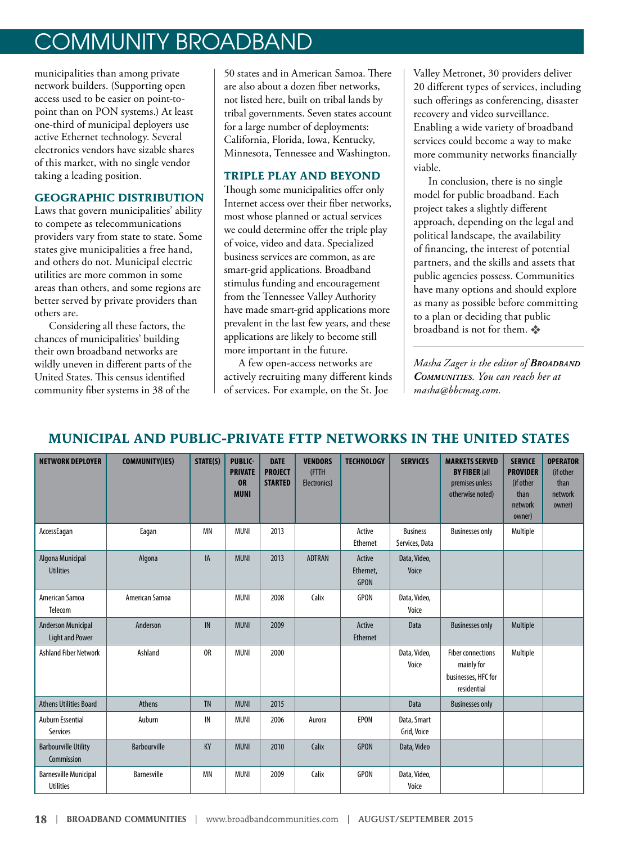municipalities than among private network builders. (Supporting open access used to be easier on point-topoint than on PON systems.) At least one-third of municipal deployers use active Ethernet technology. Several electronics vendors have sizable shares of this market, with no single vendor taking a leading position.

### **GEOGRAPHIC DISTRIBUTION**

Laws that govern municipalities' ability to compete as telecommunications providers vary from state to state. Some states give municipalities a free hand, and others do not. Municipal electric utilities are more common in some areas than others, and some regions are better served by private providers than others are.

Considering all these factors, the chances of municipalities' building their own broadband networks are wildly uneven in different parts of the United States. This census identified community fiber systems in 38 of the

50 states and in American Samoa. There are also about a dozen fiber networks, not listed here, built on tribal lands by tribal governments. Seven states account for a large number of deployments: California, Florida, Iowa, Kentucky, Minnesota, Tennessee and Washington.

### **TRIPLE PLAY AND BEYOND**

Though some municipalities offer only Internet access over their fiber networks, most whose planned or actual services we could determine offer the triple play of voice, video and data. Specialized business services are common, as are smart-grid applications. Broadband stimulus funding and encouragement from the Tennessee Valley Authority have made smart-grid applications more prevalent in the last few years, and these applications are likely to become still more important in the future.

A few open-access networks are actively recruiting many different kinds of services. For example, on the St. Joe

Valley Metronet, 30 providers deliver 20 different types of services, including such offerings as conferencing, disaster recovery and video surveillance. Enabling a wide variety of broadband services could become a way to make more community networks financially viable.

In conclusion, there is no single model for public broadband. Each project takes a slightly different approach, depending on the legal and political landscape, the availability of financing, the interest of potential partners, and the skills and assets that public agencies possess. Communities have many options and should explore as many as possible before committing to a plan or deciding that public broadband is not for them.  $\clubsuit$ 

*Masha Zager is the editor of Broadband Communities. You can reach her at masha@bbcmag.com.*

## **MUNICIPAL AND PUBLIC-PRIVATE FTTP NETWORKS IN THE UNITED STATES**

| <b>NETWORK DEPLOYER</b>                             | <b>COMMUNITY(IES)</b> | STATE(S)       | <b>PUBLIC-</b><br><b>PRIVATE</b><br><b>OR</b><br><b>MUNI</b> | <b>DATE</b><br><b>PROJECT</b><br><b>STARTED</b> | <b>VENDORS</b><br>(FTTH<br>Electronics) | <b>TECHNOLOGY</b>                  | <b>SERVICES</b>                   | <b>MARKETS SERVED</b><br><b>BY FIBER (all</b><br>premises unless<br>otherwise noted) | <b>SERVICE</b><br><b>PROVIDER</b><br>(if other<br>than<br>network<br>owner) | <b>OPERATOR</b><br>(if other<br>than<br>network<br>owner) |
|-----------------------------------------------------|-----------------------|----------------|--------------------------------------------------------------|-------------------------------------------------|-----------------------------------------|------------------------------------|-----------------------------------|--------------------------------------------------------------------------------------|-----------------------------------------------------------------------------|-----------------------------------------------------------|
| AccessEagan                                         | Eagan                 | <b>MN</b>      | <b>MUNI</b>                                                  | 2013                                            |                                         | Active<br>Ethernet                 | <b>Business</b><br>Services, Data | <b>Businesses only</b>                                                               | Multiple                                                                    |                                                           |
| Algona Municipal<br><b>Utilities</b>                | Algona                | IA             | <b>MUNI</b>                                                  | 2013                                            | <b>ADTRAN</b>                           | Active<br>Ethernet,<br><b>GPON</b> | Data, Video,<br>Voice             |                                                                                      |                                                                             |                                                           |
| American Samoa<br>Telecom                           | American Samoa        |                | <b>MUNI</b>                                                  | 2008                                            | Calix                                   | <b>GPON</b>                        | Data, Video,<br>Voice             |                                                                                      |                                                                             |                                                           |
| <b>Anderson Municipal</b><br><b>Light and Power</b> | Anderson              | IN             | <b>MUNI</b>                                                  | 2009                                            |                                         | Active<br>Ethernet                 | Data                              | <b>Businesses only</b>                                                               | Multiple                                                                    |                                                           |
| <b>Ashland Fiber Network</b>                        | Ashland               | 0 <sub>R</sub> | <b>MUNI</b>                                                  | 2000                                            |                                         |                                    | Data, Video,<br>Voice             | <b>Fiber connections</b><br>mainly for<br>businesses, HFC for<br>residential         | Multiple                                                                    |                                                           |
| <b>Athens Utilities Board</b>                       | Athens                | <b>TN</b>      | <b>MUNI</b>                                                  | 2015                                            |                                         |                                    | Data                              | <b>Businesses only</b>                                                               |                                                                             |                                                           |
| <b>Auburn Essential</b><br>Services                 | Auburn                | IN             | <b>MUNI</b>                                                  | 2006                                            | Aurora                                  | EPON                               | Data, Smart<br>Grid, Voice        |                                                                                      |                                                                             |                                                           |
| <b>Barbourville Utility</b><br>Commission           | <b>Barbourville</b>   | KY             | <b>MUNI</b>                                                  | 2010                                            | Calix                                   | <b>GPON</b>                        | Data, Video                       |                                                                                      |                                                                             |                                                           |
| <b>Barnesville Municipal</b><br><b>Utilities</b>    | <b>Barnesville</b>    | <b>MN</b>      | <b>MUNI</b>                                                  | 2009                                            | Calix                                   | GPON                               | Data, Video,<br>Voice             |                                                                                      |                                                                             |                                                           |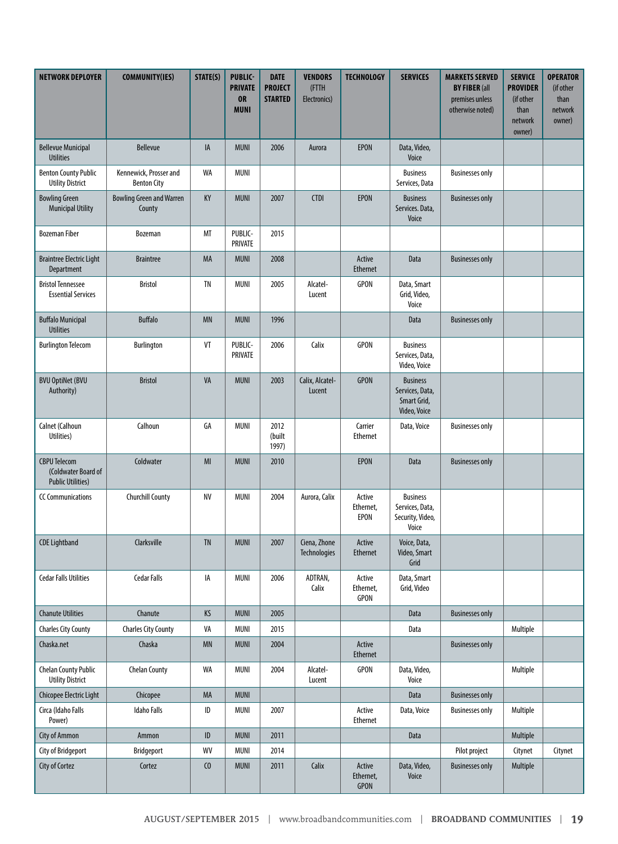| <b>NETWORK DEPLOYER</b>                                                | <b>COMMUNITY(IES)</b>                        | STATE(S)       | <b>PUBLIC-</b><br><b>PRIVATE</b><br><b>OR</b><br><b>MUNI</b> | <b>DATE</b><br><b>PROJECT</b><br><b>STARTED</b> | <b>VENDORS</b><br>(FTTH<br>Electronics) | <b>TECHNOLOGY</b>                  | <b>SERVICES</b>                                                   | <b>MARKETS SERVED</b><br><b>BY FIBER (all</b><br>premises unless<br>otherwise noted) | <b>SERVICE</b><br><b>PROVIDER</b><br>(if other<br>than<br>network<br>owner) | <b>OPERATOR</b><br>(if other<br>than<br>network<br>owner) |
|------------------------------------------------------------------------|----------------------------------------------|----------------|--------------------------------------------------------------|-------------------------------------------------|-----------------------------------------|------------------------------------|-------------------------------------------------------------------|--------------------------------------------------------------------------------------|-----------------------------------------------------------------------------|-----------------------------------------------------------|
| <b>Bellevue Municipal</b><br><b>Utilities</b>                          | <b>Bellevue</b>                              | IA             | <b>MUNI</b>                                                  | 2006                                            | Aurora                                  | <b>EPON</b>                        | Data, Video,<br>Voice                                             |                                                                                      |                                                                             |                                                           |
| <b>Benton County Public</b><br><b>Utility District</b>                 | Kennewick, Prosser and<br><b>Benton City</b> | WA             | <b>MUNI</b>                                                  |                                                 |                                         |                                    | <b>Business</b><br>Services, Data                                 | <b>Businesses only</b>                                                               |                                                                             |                                                           |
| <b>Bowling Green</b><br><b>Municipal Utility</b>                       | <b>Bowling Green and Warren</b><br>County    | KY             | <b>MUNI</b>                                                  | 2007                                            | <b>CTDI</b>                             | <b>EPON</b>                        | <b>Business</b><br>Services. Data,<br>Voice                       | <b>Businesses only</b>                                                               |                                                                             |                                                           |
| <b>Bozeman Fiber</b>                                                   | Bozeman                                      | MT             | PUBLIC-<br>PRIVATE                                           | 2015                                            |                                         |                                    |                                                                   |                                                                                      |                                                                             |                                                           |
| <b>Braintree Electric Light</b><br>Department                          | <b>Braintree</b>                             | MA             | <b>MUNI</b>                                                  | 2008                                            |                                         | Active<br><b>Ethernet</b>          | Data                                                              | <b>Businesses only</b>                                                               |                                                                             |                                                           |
| <b>Bristol Tennessee</b><br><b>Essential Services</b>                  | <b>Bristol</b>                               | TN             | <b>MUNI</b>                                                  | 2005                                            | Alcatel-<br>Lucent                      | <b>GPON</b>                        | Data, Smart<br>Grid, Video,<br>Voice                              |                                                                                      |                                                                             |                                                           |
| <b>Buffalo Municipal</b><br><b>Utilities</b>                           | <b>Buffalo</b>                               | <b>MN</b>      | <b>MUNI</b>                                                  | 1996                                            |                                         |                                    | Data                                                              | <b>Businesses only</b>                                                               |                                                                             |                                                           |
| <b>Burlington Telecom</b>                                              | <b>Burlington</b>                            | VT             | PUBLIC-<br>PRIVATE                                           | 2006                                            | Calix                                   | <b>GPON</b>                        | <b>Business</b><br>Services, Data,<br>Video, Voice                |                                                                                      |                                                                             |                                                           |
| <b>BVU OptiNet (BVU</b><br>Authority)                                  | <b>Bristol</b>                               | VA             | <b>MUNI</b>                                                  | 2003                                            | Calix, Alcatel-<br>Lucent               | <b>GPON</b>                        | <b>Business</b><br>Services, Data,<br>Smart Grid,<br>Video, Voice |                                                                                      |                                                                             |                                                           |
| Calnet (Calhoun<br>Utilities)                                          | Calhoun                                      | GA             | <b>MUNI</b>                                                  | 2012<br>(built<br>1997)                         |                                         | Carrier<br><b>Ethernet</b>         | Data, Voice                                                       | <b>Businesses only</b>                                                               |                                                                             |                                                           |
| <b>CBPU Telecom</b><br>(Coldwater Board of<br><b>Public Utilities)</b> | Coldwater                                    | MI             | <b>MUNI</b>                                                  | 2010                                            |                                         | <b>EPON</b>                        | Data                                                              | <b>Businesses only</b>                                                               |                                                                             |                                                           |
| <b>CC Communications</b>                                               | <b>Churchill County</b>                      | NV             | MUNI                                                         | 2004                                            | Aurora, Calix                           | Active<br>Ethernet,<br>EPON        | <b>Business</b><br>Services, Data,<br>Security, Video,<br>Voice   |                                                                                      |                                                                             |                                                           |
| <b>CDE Lightband</b>                                                   | Clarksville                                  | <b>TN</b>      | <b>MUNI</b>                                                  | 2007                                            | Ciena, Zhone<br><b>Technologies</b>     | Active<br><b>Ethernet</b>          | Voice, Data,<br>Video, Smart<br>Grid                              |                                                                                      |                                                                             |                                                           |
| <b>Cedar Falls Utilities</b>                                           | <b>Cedar Falls</b>                           | IA             | <b>MUNI</b>                                                  | 2006                                            | ADTRAN,<br>Calix                        | Active<br>Ethernet,<br>GPON        | Data, Smart<br>Grid, Video                                        |                                                                                      |                                                                             |                                                           |
| <b>Chanute Utilities</b>                                               | Chanute                                      | KS             | <b>MUNI</b>                                                  | 2005                                            |                                         |                                    | Data                                                              | <b>Businesses only</b>                                                               |                                                                             |                                                           |
| <b>Charles City County</b>                                             | <b>Charles City County</b>                   | VA             | <b>MUNI</b>                                                  | 2015                                            |                                         |                                    | Data                                                              |                                                                                      | Multiple                                                                    |                                                           |
| Chaska.net                                                             | Chaska                                       | <b>MN</b>      | <b>MUNI</b>                                                  | 2004                                            |                                         | Active<br>Ethernet                 |                                                                   | <b>Businesses only</b>                                                               |                                                                             |                                                           |
| <b>Chelan County Public</b><br><b>Utility District</b>                 | <b>Chelan County</b>                         | WA             | <b>MUNI</b>                                                  | 2004                                            | Alcatel-<br>Lucent                      | GPON                               | Data, Video,<br>Voice                                             |                                                                                      | Multiple                                                                    |                                                           |
| Chicopee Electric Light                                                | Chicopee                                     | MA             | <b>MUNI</b>                                                  |                                                 |                                         |                                    | Data                                                              | <b>Businesses only</b>                                                               |                                                                             |                                                           |
| Circa (Idaho Falls<br>Power)                                           | <b>Idaho Falls</b>                           | $\sf ID$       | MUNI                                                         | 2007                                            |                                         | Active<br>Ethernet                 | Data, Voice                                                       | <b>Businesses only</b>                                                               | Multiple                                                                    |                                                           |
| <b>City of Ammon</b>                                                   | Ammon                                        | ID             | <b>MUNI</b>                                                  | 2011                                            |                                         |                                    | Data                                                              |                                                                                      | Multiple                                                                    |                                                           |
| City of Bridgeport                                                     | <b>Bridgeport</b>                            | WV             | MUNI                                                         | 2014                                            |                                         |                                    |                                                                   | Pilot project                                                                        | Citynet                                                                     | Citynet                                                   |
| City of Cortez                                                         | Cortez                                       | C <sub>0</sub> | <b>MUNI</b>                                                  | 2011                                            | Calix                                   | Active<br>Ethernet,<br><b>GPON</b> | Data, Video,<br>Voice                                             | <b>Businesses only</b>                                                               | Multiple                                                                    |                                                           |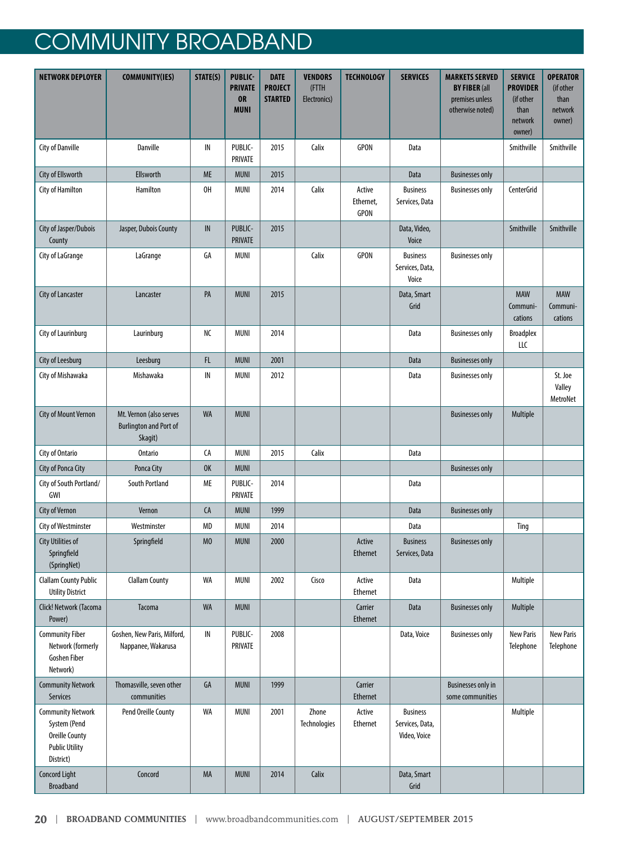| <b>NETWORK DEPLOYER</b>                                                                                 | <b>COMMUNITY(IES)</b>                                               | STATE(S)       | <b>PUBLIC-</b><br><b>PRIVATE</b><br><b>OR</b><br><b>MUNI</b> | <b>DATE</b><br><b>PROJECT</b><br><b>STARTED</b> | <b>VENDORS</b><br>(FTTH<br>Electronics) | <b>TECHNOLOGY</b>           | <b>SERVICES</b>                                    | <b>MARKETS SERVED</b><br><b>BY FIBER (all</b><br>premises unless<br>otherwise noted) | <b>SERVICE</b><br><b>PROVIDER</b><br>(if other<br>than<br>network<br>owner) | <b>OPERATOR</b><br>(if other<br>than<br>network<br>owner) |
|---------------------------------------------------------------------------------------------------------|---------------------------------------------------------------------|----------------|--------------------------------------------------------------|-------------------------------------------------|-----------------------------------------|-----------------------------|----------------------------------------------------|--------------------------------------------------------------------------------------|-----------------------------------------------------------------------------|-----------------------------------------------------------|
| City of Danville                                                                                        | Danville                                                            | IN             | PUBLIC-<br>PRIVATE                                           | 2015                                            | Calix                                   | <b>GPON</b>                 | Data                                               |                                                                                      | Smithville                                                                  | Smithville                                                |
| City of Ellsworth                                                                                       | Ellsworth                                                           | ME             | <b>MUNI</b>                                                  | 2015                                            |                                         |                             | Data                                               | <b>Businesses only</b>                                                               |                                                                             |                                                           |
| City of Hamilton                                                                                        | Hamilton                                                            | 0H             | <b>MUNI</b>                                                  | 2014                                            | Calix                                   | Active<br>Ethernet,<br>GPON | <b>Business</b><br>Services, Data                  | <b>Businesses only</b>                                                               | <b>CenterGrid</b>                                                           |                                                           |
| City of Jasper/Dubois<br>County                                                                         | Jasper, Dubois County                                               | IN             | PUBLIC-<br><b>PRIVATE</b>                                    | 2015                                            |                                         |                             | Data, Video,<br>Voice                              |                                                                                      | Smithville                                                                  | Smithville                                                |
| City of LaGrange                                                                                        | LaGrange                                                            | GA             | <b>MUNI</b>                                                  |                                                 | Calix                                   | <b>GPON</b>                 | <b>Business</b><br>Services, Data,<br>Voice        | <b>Businesses only</b>                                                               |                                                                             |                                                           |
| City of Lancaster                                                                                       | Lancaster                                                           | PA             | <b>MUNI</b>                                                  | 2015                                            |                                         |                             | Data, Smart<br>Grid                                |                                                                                      | <b>MAW</b><br>Communi-<br>cations                                           | <b>MAW</b><br>Communi-<br>cations                         |
| City of Laurinburg                                                                                      | Laurinburg                                                          | NC             | <b>MUNI</b>                                                  | 2014                                            |                                         |                             | Data                                               | <b>Businesses only</b>                                                               | <b>Broadplex</b><br>LLC                                                     |                                                           |
| City of Leesburg                                                                                        | Leesburg                                                            | FL             | <b>MUNI</b>                                                  | 2001                                            |                                         |                             | Data                                               | <b>Businesses only</b>                                                               |                                                                             |                                                           |
| City of Mishawaka                                                                                       | Mishawaka                                                           | IN             | <b>MUNI</b>                                                  | 2012                                            |                                         |                             | Data                                               | <b>Businesses only</b>                                                               |                                                                             | St. Joe<br>Valley<br>MetroNet                             |
| City of Mount Vernon                                                                                    | Mt. Vernon (also serves<br><b>Burlington and Port of</b><br>Skagit) | <b>WA</b>      | <b>MUNI</b>                                                  |                                                 |                                         |                             |                                                    | <b>Businesses only</b>                                                               | Multiple                                                                    |                                                           |
| City of Ontario                                                                                         | <b>Ontario</b>                                                      | CA             | <b>MUNI</b>                                                  | 2015                                            | Calix                                   |                             | Data                                               |                                                                                      |                                                                             |                                                           |
| City of Ponca City                                                                                      | Ponca City                                                          | <b>OK</b>      | <b>MUNI</b>                                                  |                                                 |                                         |                             |                                                    | <b>Businesses only</b>                                                               |                                                                             |                                                           |
| City of South Portland/<br>GWI                                                                          | South Portland                                                      | ME             | PUBLIC-<br>PRIVATE                                           | 2014                                            |                                         |                             | Data                                               |                                                                                      |                                                                             |                                                           |
| City of Vernon                                                                                          | Vernon                                                              | CA             | <b>MUNI</b>                                                  | 1999                                            |                                         |                             | Data                                               | <b>Businesses only</b>                                                               |                                                                             |                                                           |
| City of Westminster                                                                                     | Westminster                                                         | <b>MD</b>      | <b>MUNI</b>                                                  | 2014                                            |                                         |                             | Data                                               |                                                                                      | Ting                                                                        |                                                           |
| <b>City Utilities of</b><br>Springfield<br>(SpringNet)                                                  | Springfield                                                         | M <sub>0</sub> | <b>MUNI</b>                                                  | 2000                                            |                                         | Active<br><b>Ethernet</b>   | <b>Business</b><br>Services, Data                  | <b>Businesses only</b>                                                               |                                                                             |                                                           |
| <b>Clallam County Public</b><br><b>Utility District</b>                                                 | <b>Clallam County</b>                                               | WA             | <b>MUNI</b>                                                  | 2002                                            | Cisco                                   | Active<br>Ethernet          | Data                                               |                                                                                      | Multiple                                                                    |                                                           |
| Click! Network (Tacoma<br>Power)                                                                        | Tacoma                                                              | <b>WA</b>      | <b>MUNI</b>                                                  |                                                 |                                         | Carrier<br>Ethernet         | Data                                               | <b>Businesses only</b>                                                               | Multiple                                                                    |                                                           |
| <b>Community Fiber</b><br>Network (formerly<br><b>Goshen Fiber</b><br>Network)                          | Goshen, New Paris, Milford,<br>Nappanee, Wakarusa                   | IN             | PUBLIC-<br>PRIVATE                                           | 2008                                            |                                         |                             | Data, Voice                                        | <b>Businesses only</b>                                                               | <b>New Paris</b><br>Telephone                                               | <b>New Paris</b><br>Telephone                             |
| <b>Community Network</b><br>Services                                                                    | Thomasville, seven other<br>communities                             | GA             | <b>MUNI</b>                                                  | 1999                                            |                                         | Carrier<br>Ethernet         |                                                    | <b>Businesses only in</b><br>some communities                                        |                                                                             |                                                           |
| <b>Community Network</b><br>System (Pend<br><b>Oreille County</b><br><b>Public Utility</b><br>District) | Pend Oreille County                                                 | WA             | <b>MUNI</b>                                                  | 2001                                            | Zhone<br>Technologies                   | Active<br>Ethernet          | <b>Business</b><br>Services, Data,<br>Video, Voice |                                                                                      | Multiple                                                                    |                                                           |
| <b>Concord Light</b><br><b>Broadband</b>                                                                | Concord                                                             | MA             | <b>MUNI</b>                                                  | 2014                                            | Calix                                   |                             | Data, Smart<br>Grid                                |                                                                                      |                                                                             |                                                           |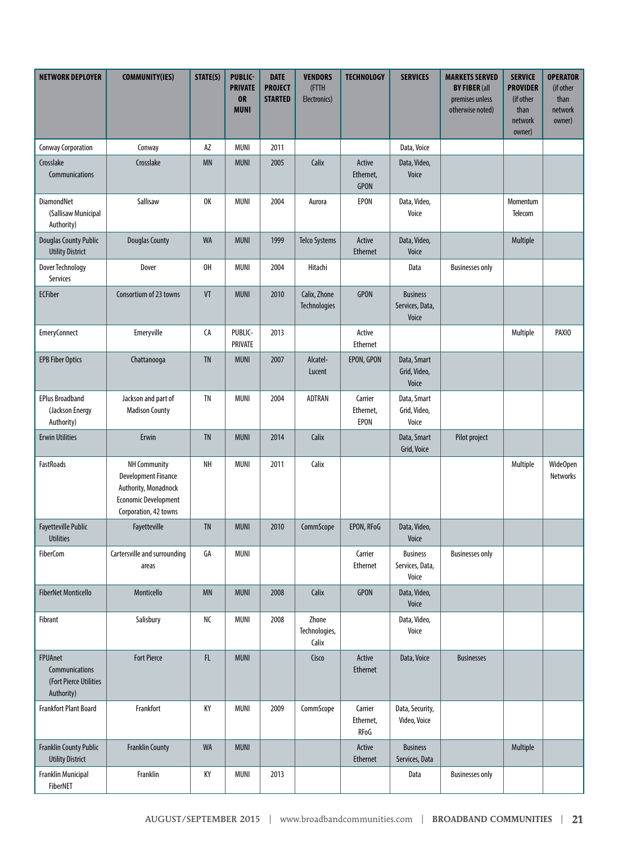| <b>NETWORK DEPLOYER</b>                                                  | <b>COMMUNITY(IES)</b>                                                                                                      | STATE(S)      | <b>PUBLIC-</b><br><b>PRIVATE</b><br><b>OR</b><br><b>MUNI</b> | <b>DATE</b><br><b>PROJECT</b><br><b>STARTED</b> | <b>VENDORS</b><br>(FTTH<br>Electronics) | <b>TECHNOLOGY</b>            | <b>SERVICES</b>                             | <b>MARKETS SERVED</b><br><b>BY FIBER (all</b><br>premises unless<br>otherwise noted) | <b>SERVICE</b><br><b>PROVIDER</b><br>(if other<br>than<br>network<br>owner) | <b>OPERATOR</b><br>(if other<br>than<br>network<br>owner) |
|--------------------------------------------------------------------------|----------------------------------------------------------------------------------------------------------------------------|---------------|--------------------------------------------------------------|-------------------------------------------------|-----------------------------------------|------------------------------|---------------------------------------------|--------------------------------------------------------------------------------------|-----------------------------------------------------------------------------|-----------------------------------------------------------|
| <b>Conway Corporation</b>                                                | Conway                                                                                                                     | AZ            | <b>MUNI</b>                                                  | 2011                                            |                                         |                              | Data, Voice                                 |                                                                                      |                                                                             |                                                           |
| Crosslake<br>Communications                                              | Crosslake                                                                                                                  | <b>MN</b>     | <b>MUNI</b>                                                  | 2005                                            | Calix                                   | Active<br>Ethernet,<br>GPON  | Data, Video,<br>Voice                       |                                                                                      |                                                                             |                                                           |
| DiamondNet<br>(Sallisaw Municipal<br>Authority)                          | Sallisaw                                                                                                                   | 0K            | <b>MUNI</b>                                                  | 2004                                            | Aurora                                  | EPON                         | Data, Video,<br>Voice                       |                                                                                      | Momentum<br>Telecom                                                         |                                                           |
| <b>Douglas County Public</b><br><b>Utility District</b>                  | <b>Douglas County</b>                                                                                                      | <b>WA</b>     | <b>MUNI</b>                                                  | 1999                                            | <b>Telco Systems</b>                    | Active<br>Ethernet           | Data, Video,<br>Voice                       |                                                                                      | Multiple                                                                    |                                                           |
| <b>Dover Technology</b><br>Services                                      | Dover                                                                                                                      | OH            | <b>MUNI</b>                                                  | 2004                                            | Hitachi                                 |                              | Data                                        | <b>Businesses only</b>                                                               |                                                                             |                                                           |
| <b>ECFiber</b>                                                           | Consortium of 23 towns                                                                                                     | VT            | <b>MUNI</b>                                                  | 2010                                            | Calix, Zhone<br>Technologies            | <b>GPON</b>                  | <b>Business</b><br>Services, Data,<br>Voice |                                                                                      |                                                                             |                                                           |
| <b>EmeryConnect</b>                                                      | Emeryville                                                                                                                 | CA            | PUBLIC-<br>PRIVATE                                           | 2013                                            |                                         | Active<br>Ethernet           |                                             |                                                                                      | Multiple                                                                    | PAXIO                                                     |
| <b>EPB Fiber Optics</b>                                                  | Chattanooga                                                                                                                | <b>TN</b>     | <b>MUNI</b>                                                  | 2007                                            | Alcatel-<br>Lucent                      | EPON, GPON                   | Data, Smart<br>Grid, Video,<br>Voice        |                                                                                      |                                                                             |                                                           |
| <b>EPlus Broadband</b><br>(Jackson Energy<br>Authority)                  | Jackson and part of<br><b>Madison County</b>                                                                               | <b>TN</b>     | <b>MUNI</b>                                                  | 2004                                            | ADTRAN                                  | Carrier<br>Ethernet,<br>EPON | Data, Smart<br>Grid, Video,<br>Voice        |                                                                                      |                                                                             |                                                           |
| <b>Erwin Utilities</b>                                                   | Erwin                                                                                                                      | <b>TN</b>     | <b>MUNI</b>                                                  | 2014                                            | Calix                                   |                              | Data, Smart<br>Grid, Voice                  | Pilot project                                                                        |                                                                             |                                                           |
| <b>FastRoads</b>                                                         | NH Community<br><b>Development Finance</b><br>Authority, Monadnock<br><b>Economic Development</b><br>Corporation, 42 towns | NH            | <b>MUNI</b>                                                  | 2011                                            | Calix                                   |                              |                                             |                                                                                      | Multiple                                                                    | Wide0pen<br>Networks                                      |
| <b>Fayetteville Public</b><br><b>Utilities</b>                           | Fayetteville                                                                                                               | <b>TN</b>     | <b>MUNI</b>                                                  | 2010                                            | CommScope                               | EPON, RFoG                   | Data, Video,<br>Voice                       |                                                                                      |                                                                             |                                                           |
| <b>FiberCom</b>                                                          | Cartersville and surrounding<br>areas                                                                                      | GA            | <b>MUNI</b>                                                  |                                                 |                                         | Carrier<br><b>Ethernet</b>   | <b>Business</b><br>Services, Data,<br>Voice | <b>Businesses only</b>                                                               |                                                                             |                                                           |
| <b>FiberNet Monticello</b>                                               | Monticello                                                                                                                 | <b>MN</b>     | <b>MUNI</b>                                                  | 2008                                            | Calix                                   | GPON                         | Data, Video,<br>Voice                       |                                                                                      |                                                                             |                                                           |
| Fibrant                                                                  | Salisbury                                                                                                                  | NC            | MUNI                                                         | 2008                                            | Zhone<br>Technologies,<br>Calix         |                              | Data, Video,<br>Voice                       |                                                                                      |                                                                             |                                                           |
| <b>FPUAnet</b><br>Communications<br>(Fort Pierce Utilities<br>Authority) | <b>Fort Pierce</b>                                                                                                         | $\mathsf{FL}$ | <b>MUNI</b>                                                  |                                                 | Cisco                                   | Active<br><b>Ethernet</b>    | Data, Voice                                 | <b>Businesses</b>                                                                    |                                                                             |                                                           |
| <b>Frankfort Plant Board</b>                                             | Frankfort                                                                                                                  | KY            | <b>MUNI</b>                                                  | 2009                                            | CommScope                               | Carrier<br>Ethernet,<br>RFoG | Data, Security,<br>Video, Voice             |                                                                                      |                                                                             |                                                           |
| <b>Franklin County Public</b><br><b>Utility District</b>                 | <b>Franklin County</b>                                                                                                     | <b>WA</b>     | <b>MUNI</b>                                                  |                                                 |                                         | Active<br><b>Ethernet</b>    | <b>Business</b><br>Services, Data           |                                                                                      | Multiple                                                                    |                                                           |
| Franklin Municipal<br>FiberNET                                           | Franklin                                                                                                                   | КY            | <b>MUNI</b>                                                  | 2013                                            |                                         |                              | Data                                        | <b>Businesses only</b>                                                               |                                                                             |                                                           |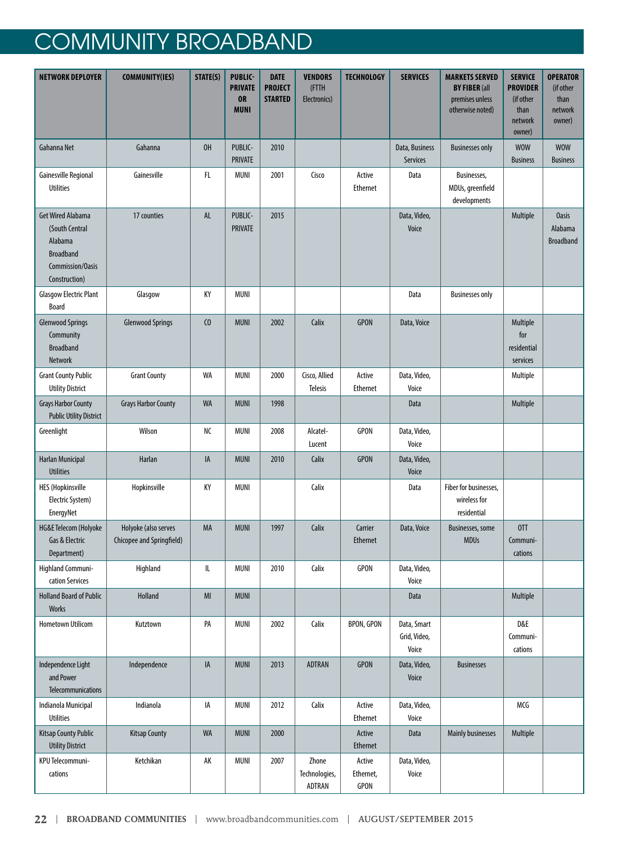| <b>NETWORK DEPLOYER</b>                                                                                        | <b>COMMUNITY(IES)</b>                             | STATE(S)       | <b>PUBLIC-</b><br><b>PRIVATE</b><br><b>OR</b><br><b>MUNI</b> | <b>DATE</b><br><b>PROJECT</b><br><b>STARTED</b> | <b>VENDORS</b><br>(FTTH<br>Electronics) | <b>TECHNOLOGY</b>           | <b>SERVICES</b>                      | <b>MARKETS SERVED</b><br><b>BY FIBER (all</b><br>premises unless<br>otherwise noted) | <b>SERVICE</b><br><b>PROVIDER</b><br>(if other<br>than<br>network<br>owner) | <b>OPERATOR</b><br>(if other<br>than<br>network<br>owner) |
|----------------------------------------------------------------------------------------------------------------|---------------------------------------------------|----------------|--------------------------------------------------------------|-------------------------------------------------|-----------------------------------------|-----------------------------|--------------------------------------|--------------------------------------------------------------------------------------|-----------------------------------------------------------------------------|-----------------------------------------------------------|
| Gahanna Net                                                                                                    | Gahanna                                           | OH             | PUBLIC-<br><b>PRIVATE</b>                                    | 2010                                            |                                         |                             | Data, Business<br>Services           | <b>Businesses only</b>                                                               | <b>WOW</b><br><b>Business</b>                                               | <b>WOW</b><br><b>Business</b>                             |
| Gainesville Regional<br><b>Utilities</b>                                                                       | Gainesville                                       | FL             | MUNI                                                         | 2001                                            | Cisco                                   | Active<br>Ethernet          | Data                                 | Businesses,<br>MDUs, greenfield<br>developments                                      |                                                                             |                                                           |
| <b>Get Wired Alabama</b><br>(South Central<br>Alabama<br><b>Broadband</b><br>Commission/Oasis<br>Construction) | 17 counties                                       | AL             | PUBLIC-<br><b>PRIVATE</b>                                    | 2015                                            |                                         |                             | Data, Video,<br>Voice                |                                                                                      | Multiple                                                                    | <b>Oasis</b><br>Alabama<br><b>Broadband</b>               |
| <b>Glasgow Electric Plant</b><br><b>Board</b>                                                                  | Glasgow                                           | KY             | <b>MUNI</b>                                                  |                                                 |                                         |                             | Data                                 | <b>Businesses only</b>                                                               |                                                                             |                                                           |
| <b>Glenwood Springs</b><br>Community<br><b>Broadband</b><br><b>Network</b>                                     | <b>Glenwood Springs</b>                           | C <sub>0</sub> | <b>MUNI</b>                                                  | 2002                                            | Calix                                   | <b>GPON</b>                 | Data, Voice                          |                                                                                      | Multiple<br>for<br>residential<br>services                                  |                                                           |
| <b>Grant County Public</b><br><b>Utility District</b>                                                          | <b>Grant County</b>                               | WA             | <b>MUNI</b>                                                  | 2000                                            | Cisco, Allied<br><b>Telesis</b>         | Active<br>Ethernet          | Data, Video,<br>Voice                |                                                                                      | Multiple                                                                    |                                                           |
| <b>Grays Harbor County</b><br><b>Public Utility District</b>                                                   | <b>Grays Harbor County</b>                        | <b>WA</b>      | <b>MUNI</b>                                                  | 1998                                            |                                         |                             | Data                                 |                                                                                      | Multiple                                                                    |                                                           |
| Greenlight                                                                                                     | Wilson                                            | NС             | <b>MUNI</b>                                                  | 2008                                            | Alcatel-<br>Lucent                      | <b>GPON</b>                 | Data, Video,<br>Voice                |                                                                                      |                                                                             |                                                           |
| <b>Harlan Municipal</b><br><b>Utilities</b>                                                                    | Harlan                                            | IA             | <b>MUNI</b>                                                  | 2010                                            | Calix                                   | <b>GPON</b>                 | Data, Video,<br>Voice                |                                                                                      |                                                                             |                                                           |
| <b>HES (Hopkinsville</b><br>Electric System)<br>EnergyNet                                                      | Hopkinsville                                      | KY             | <b>MUNI</b>                                                  |                                                 | Calix                                   |                             | Data                                 | Fiber for businesses,<br>wireless for<br>residential                                 |                                                                             |                                                           |
| HG&E Telecom (Holyoke<br>Gas & Electric<br>Department)                                                         | Holyoke (also serves<br>Chicopee and Springfield) | MA             | <b>MUNI</b>                                                  | 1997                                            | Calix                                   | Carrier<br><b>Ethernet</b>  | Data, Voice                          | Businesses, some<br><b>MDUs</b>                                                      | OTT<br>Communi-<br>cations                                                  |                                                           |
| Highland Communi-<br>cation Services                                                                           | Highland                                          | IL             | <b>MUNI</b>                                                  | 2010                                            | Calix                                   | GPON                        | Data, Video,<br>Voice                |                                                                                      |                                                                             |                                                           |
| <b>Holland Board of Public</b><br><b>Works</b>                                                                 | Holland                                           | M <sub>l</sub> | <b>MUNI</b>                                                  |                                                 |                                         |                             | Data                                 |                                                                                      | Multiple                                                                    |                                                           |
| Hometown Utilicom                                                                                              | Kutztown                                          | PA             | <b>MUNI</b>                                                  | 2002                                            | Calix                                   | BPON, GPON                  | Data, Smart<br>Grid, Video,<br>Voice |                                                                                      | D&E<br>Communi-<br>cations                                                  |                                                           |
| Independence Light<br>and Power<br>Telecommunications                                                          | Independence                                      | IA             | <b>MUNI</b>                                                  | 2013                                            | <b>ADTRAN</b>                           | <b>GPON</b>                 | Data, Video,<br>Voice                | <b>Businesses</b>                                                                    |                                                                             |                                                           |
| Indianola Municipal<br><b>Utilities</b>                                                                        | Indianola                                         | IA             | MUNI                                                         | 2012                                            | Calix                                   | Active<br>Ethernet          | Data, Video,<br>Voice                |                                                                                      | MCG                                                                         |                                                           |
| <b>Kitsap County Public</b><br><b>Utility District</b>                                                         | <b>Kitsap County</b>                              | <b>WA</b>      | <b>MUNI</b>                                                  | 2000                                            |                                         | Active<br>Ethernet          | Data                                 | <b>Mainly businesses</b>                                                             | Multiple                                                                    |                                                           |
| KPU Telecommuni-<br>cations                                                                                    | Ketchikan                                         | AK             | MUNI                                                         | 2007                                            | Zhone<br>Technologies,<br>ADTRAN        | Active<br>Ethernet,<br>GPON | Data, Video,<br>Voice                |                                                                                      |                                                                             |                                                           |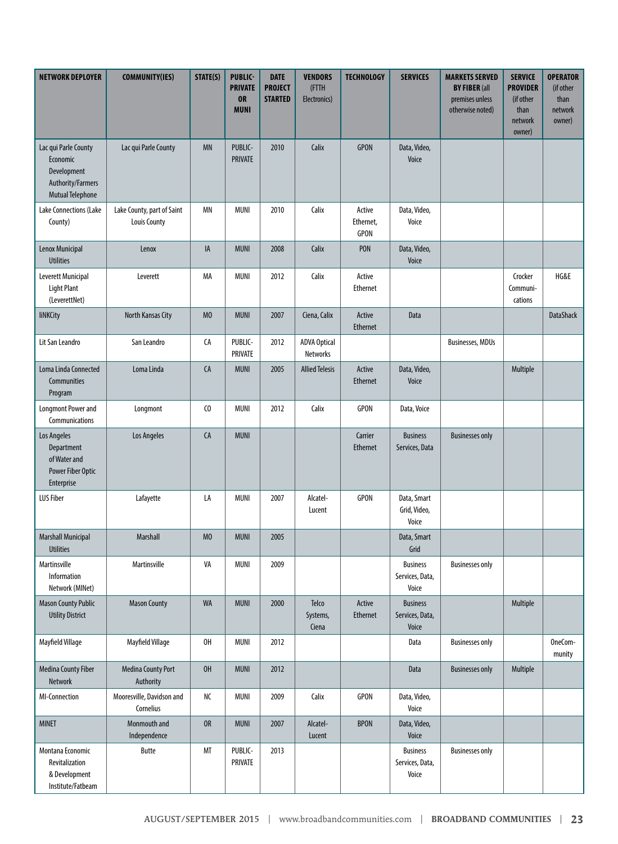| <b>NETWORK DEPLOYER</b>                                                                         | <b>COMMUNITY(IES)</b>                             | STATE(S)       | <b>PUBLIC-</b><br><b>PRIVATE</b><br><b>OR</b><br><b>MUNI</b> | <b>DATE</b><br><b>PROJECT</b><br><b>STARTED</b> | <b>VENDORS</b><br>(FTTH<br>Electronics) | <b>TECHNOLOGY</b>                  | <b>SERVICES</b>                             | <b>MARKETS SERVED</b><br><b>BY FIBER (all</b><br>premises unless<br>otherwise noted) | <b>SERVICE</b><br><b>PROVIDER</b><br>(if other<br>than<br>network<br>owner) | <b>OPERATOR</b><br>(if other<br>than<br>network<br>owner) |
|-------------------------------------------------------------------------------------------------|---------------------------------------------------|----------------|--------------------------------------------------------------|-------------------------------------------------|-----------------------------------------|------------------------------------|---------------------------------------------|--------------------------------------------------------------------------------------|-----------------------------------------------------------------------------|-----------------------------------------------------------|
| Lac qui Parle County<br>Economic<br>Development<br>Authority/Farmers<br><b>Mutual Telephone</b> | Lac qui Parle County                              | <b>MN</b>      | PUBLIC-<br><b>PRIVATE</b>                                    | 2010                                            | Calix                                   | <b>GPON</b>                        | Data, Video,<br>Voice                       |                                                                                      |                                                                             |                                                           |
| Lake Connections (Lake<br>County)                                                               | Lake County, part of Saint<br><b>Louis County</b> | MN             | <b>MUNI</b>                                                  | 2010                                            | Calix                                   | Active<br>Ethernet,<br><b>GPON</b> | Data, Video,<br>Voice                       |                                                                                      |                                                                             |                                                           |
| Lenox Municipal<br><b>Utilities</b>                                                             | Lenox                                             | IA             | <b>MUNI</b>                                                  | 2008                                            | Calix                                   | PON                                | Data, Video,<br>Voice                       |                                                                                      |                                                                             |                                                           |
| Leverett Municipal<br>Light Plant<br>(LeverettNet)                                              | Leverett                                          | МA             | <b>MUNI</b>                                                  | 2012                                            | Calix                                   | Active<br>Ethernet                 |                                             |                                                                                      | Crocker<br>Communi-<br>cations                                              | HG&E                                                      |
| <b>liNKCity</b>                                                                                 | North Kansas City                                 | M <sub>0</sub> | <b>MUNI</b>                                                  | 2007                                            | Ciena, Calix                            | Active<br>Ethernet                 | Data                                        |                                                                                      |                                                                             | <b>DataShack</b>                                          |
| Lit San Leandro                                                                                 | San Leandro                                       | CA             | PUBLIC-<br>PRIVATE                                           | 2012                                            | <b>ADVA Optical</b><br>Networks         |                                    |                                             | <b>Businesses, MDUs</b>                                                              |                                                                             |                                                           |
| Loma Linda Connected<br>Communities<br>Program                                                  | Loma Linda                                        | CA             | <b>MUNI</b>                                                  | 2005                                            | <b>Allied Telesis</b>                   | Active<br><b>Ethernet</b>          | Data, Video,<br>Voice                       |                                                                                      | Multiple                                                                    |                                                           |
| <b>Longmont Power and</b><br>Communications                                                     | Longmont                                          | C <sub>0</sub> | <b>MUNI</b>                                                  | 2012                                            | Calix                                   | <b>GPON</b>                        | Data, Voice                                 |                                                                                      |                                                                             |                                                           |
| Los Angeles<br>Department<br>of Water and<br>Power Fiber Optic<br>Enterprise                    | Los Angeles                                       | CA             | <b>MUNI</b>                                                  |                                                 |                                         | Carrier<br><b>Ethernet</b>         | <b>Business</b><br>Services, Data           | <b>Businesses only</b>                                                               |                                                                             |                                                           |
| <b>LUS Fiber</b>                                                                                | Lafayette                                         | LA             | <b>MUNI</b>                                                  | 2007                                            | Alcatel-<br>Lucent                      | GPON                               | Data, Smart<br>Grid, Video,<br>Voice        |                                                                                      |                                                                             |                                                           |
| <b>Marshall Municipal</b><br><b>Utilities</b>                                                   | Marshall                                          | M <sub>0</sub> | <b>MUNI</b>                                                  | 2005                                            |                                         |                                    | Data, Smart<br>Grid                         |                                                                                      |                                                                             |                                                           |
| Martinsville<br>Information<br>Network (MINet)                                                  | Martinsville                                      | VA             | <b>MUNI</b>                                                  | 2009                                            |                                         |                                    | <b>Business</b><br>Services, Data,<br>Voice | <b>Businesses only</b>                                                               |                                                                             |                                                           |
| <b>Mason County Public</b><br><b>Utility District</b>                                           | <b>Mason County</b>                               | <b>WA</b>      | <b>MUNI</b>                                                  | 2000                                            | Telco<br>Systems,<br>Ciena              | Active<br>Ethernet                 | <b>Business</b><br>Services, Data,<br>Voice |                                                                                      | Multiple                                                                    |                                                           |
| Mayfield Village                                                                                | Mayfield Village                                  | OH             | <b>MUNI</b>                                                  | 2012                                            |                                         |                                    | Data                                        | <b>Businesses only</b>                                                               |                                                                             | OneCom-<br>munity                                         |
| <b>Medina County Fiber</b><br>Network                                                           | <b>Medina County Port</b><br>Authority            | OH             | <b>MUNI</b>                                                  | 2012                                            |                                         |                                    | Data                                        | <b>Businesses only</b>                                                               | Multiple                                                                    |                                                           |
| MI-Connection                                                                                   | Mooresville, Davidson and<br>Cornelius            | NC             | <b>MUNI</b>                                                  | 2009                                            | Calix                                   | <b>GPON</b>                        | Data, Video,<br>Voice                       |                                                                                      |                                                                             |                                                           |
| <b>MINET</b>                                                                                    | Monmouth and<br>Independence                      | OR             | <b>MUNI</b>                                                  | 2007                                            | Alcatel-<br>Lucent                      | <b>BPON</b>                        | Data, Video,<br>Voice                       |                                                                                      |                                                                             |                                                           |
| Montana Economic<br>Revitalization<br>& Development<br>Institute/Fatbeam                        | <b>Butte</b>                                      | МT             | PUBLIC-<br>PRIVATE                                           | 2013                                            |                                         |                                    | <b>Business</b><br>Services, Data,<br>Voice | <b>Businesses only</b>                                                               |                                                                             |                                                           |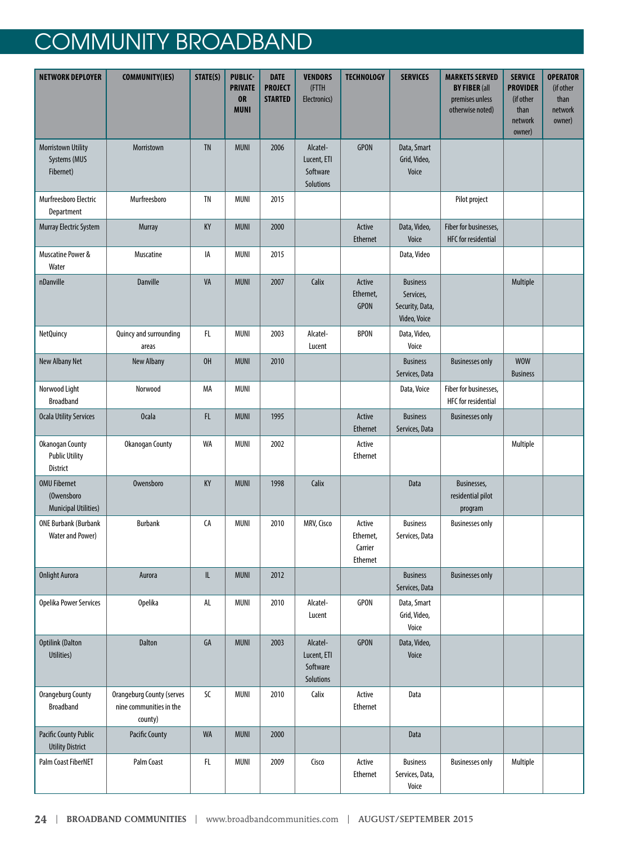| <b>NETWORK DEPLOYER</b>                                            | <b>COMMUNITY(IES)</b>                                                  | STATE(S)                          | <b>PUBLIC-</b><br><b>PRIVATE</b><br><b>OR</b><br><b>MUNI</b> | <b>DATE</b><br><b>PROJECT</b><br><b>STARTED</b> | <b>VENDORS</b><br>(FTTH<br>Electronics)          | <b>TECHNOLOGY</b>                          | <b>SERVICES</b>                                                 | <b>MARKETS SERVED</b><br><b>BY FIBER (all</b><br>premises unless<br>otherwise noted) | <b>SERVICE</b><br><b>PROVIDER</b><br>(if other<br>than<br>network<br>owner) | <b>OPERATOR</b><br>(if other<br>than<br>network<br>owner) |
|--------------------------------------------------------------------|------------------------------------------------------------------------|-----------------------------------|--------------------------------------------------------------|-------------------------------------------------|--------------------------------------------------|--------------------------------------------|-----------------------------------------------------------------|--------------------------------------------------------------------------------------|-----------------------------------------------------------------------------|-----------------------------------------------------------|
| Morristown Utility<br>Systems (MUS<br>Fibernet)                    | Morristown                                                             | <b>TN</b>                         | <b>MUNI</b>                                                  | 2006                                            | Alcatel-<br>Lucent, ETI<br>Software<br>Solutions | <b>GPON</b>                                | Data, Smart<br>Grid, Video,<br>Voice                            |                                                                                      |                                                                             |                                                           |
| Murfreesboro Electric<br>Department                                | Murfreesboro                                                           | TN                                | <b>MUNI</b>                                                  | 2015                                            |                                                  |                                            |                                                                 | Pilot project                                                                        |                                                                             |                                                           |
| <b>Murray Electric System</b>                                      | Murray                                                                 | KY                                | <b>MUNI</b>                                                  | 2000                                            |                                                  | Active<br>Ethernet                         | Data, Video,<br>Voice                                           | Fiber for businesses,<br><b>HFC</b> for residential                                  |                                                                             |                                                           |
| Muscatine Power &<br>Water                                         | Muscatine                                                              | IA                                | <b>MUNI</b>                                                  | 2015                                            |                                                  |                                            | Data, Video                                                     |                                                                                      |                                                                             |                                                           |
| nDanville                                                          | <b>Danville</b>                                                        | VA                                | <b>MUNI</b>                                                  | 2007                                            | Calix                                            | Active<br>Ethernet,<br><b>GPON</b>         | <b>Business</b><br>Services,<br>Security, Data,<br>Video, Voice |                                                                                      | Multiple                                                                    |                                                           |
| NetQuincy                                                          | Quincy and surrounding<br>areas                                        | FL                                | <b>MUNI</b>                                                  | 2003                                            | Alcatel-<br>Lucent                               | <b>BPON</b>                                | Data, Video,<br>Voice                                           |                                                                                      |                                                                             |                                                           |
| New Albany Net                                                     | New Albany                                                             | OH                                | <b>MUNI</b>                                                  | 2010                                            |                                                  |                                            | <b>Business</b><br>Services, Data                               | <b>Businesses only</b>                                                               | <b>WOW</b><br><b>Business</b>                                               |                                                           |
| Norwood Light<br><b>Broadband</b>                                  | Norwood                                                                | MA                                | <b>MUNI</b>                                                  |                                                 |                                                  |                                            | Data, Voice                                                     | Fiber for businesses,<br><b>HFC</b> for residential                                  |                                                                             |                                                           |
| <b>Ocala Utility Services</b>                                      | <b>Ocala</b>                                                           | FL                                | <b>MUNI</b>                                                  | 1995                                            |                                                  | Active<br><b>Ethernet</b>                  | <b>Business</b><br>Services, Data                               | <b>Businesses only</b>                                                               |                                                                             |                                                           |
| <b>Okanogan County</b><br><b>Public Utility</b><br><b>District</b> | <b>Okanogan County</b>                                                 | WA                                | <b>MUNI</b>                                                  | 2002                                            |                                                  | Active<br><b>Ethernet</b>                  |                                                                 |                                                                                      | Multiple                                                                    |                                                           |
| <b>OMU Fibernet</b><br>(Owensboro<br><b>Municipal Utilities)</b>   | Owensboro                                                              | KY                                | <b>MUNI</b>                                                  | 1998                                            | Calix                                            |                                            | Data                                                            | Businesses,<br>residential pilot<br>program                                          |                                                                             |                                                           |
| <b>ONE Burbank (Burbank</b><br><b>Water and Power)</b>             | <b>Burbank</b>                                                         | CA                                | <b>MUNI</b>                                                  | 2010                                            | MRV, Cisco                                       | Active<br>Ethernet,<br>Carrier<br>Ethernet | <b>Business</b><br>Services, Data                               | <b>Businesses only</b>                                                               |                                                                             |                                                           |
| <b>Onlight Aurora</b>                                              | Aurora                                                                 | $\ensuremath{\mathsf{IL}}\xspace$ | <b>MUNI</b>                                                  | 2012                                            |                                                  |                                            | <b>Business</b><br>Services, Data                               | <b>Businesses only</b>                                                               |                                                                             |                                                           |
| <b>Opelika Power Services</b>                                      | <b>Opelika</b>                                                         | AL                                | MUNI                                                         | 2010                                            | Alcatel-<br>Lucent                               | <b>GPON</b>                                | Data, Smart<br>Grid, Video,<br>Voice                            |                                                                                      |                                                                             |                                                           |
| <b>Optilink (Dalton</b><br>Utilities)                              | Dalton                                                                 | GA                                | <b>MUNI</b>                                                  | 2003                                            | Alcatel-<br>Lucent, ETI<br>Software<br>Solutions | <b>GPON</b>                                | Data, Video,<br>Voice                                           |                                                                                      |                                                                             |                                                           |
| Orangeburg County<br><b>Broadband</b>                              | <b>Orangeburg County (serves</b><br>nine communities in the<br>county) | SC                                | MUNI                                                         | 2010                                            | Calix                                            | Active<br>Ethernet                         | Data                                                            |                                                                                      |                                                                             |                                                           |
| <b>Pacific County Public</b><br><b>Utility District</b>            | <b>Pacific County</b>                                                  | <b>WA</b>                         | <b>MUNI</b>                                                  | 2000                                            |                                                  |                                            | Data                                                            |                                                                                      |                                                                             |                                                           |
| Palm Coast FiberNET                                                | Palm Coast                                                             | FL                                | MUNI                                                         | 2009                                            | Cisco                                            | Active<br>Ethernet                         | <b>Business</b><br>Services, Data,<br>Voice                     | <b>Businesses only</b>                                                               | Multiple                                                                    |                                                           |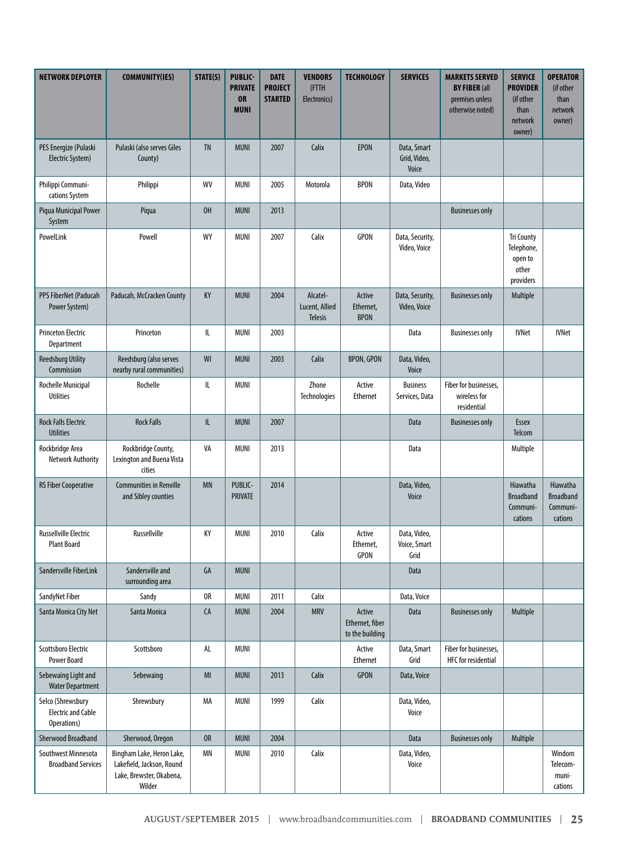| <b>NETWORK DEPLOYER</b>                                       | <b>COMMUNITY(IES)</b>                                                                        | STATE(S)                          | <b>PUBLIC-</b><br><b>PRIVATE</b><br><b>OR</b><br><b>MUNI</b> | <b>DATE</b><br><b>PROJECT</b><br><b>STARTED</b> | <b>VENDORS</b><br>(FTTH<br>Electronics) | <b>TECHNOLOGY</b>                            | <b>SERVICES</b>                      | <b>MARKETS SERVED</b><br><b>BY FIBER (all</b><br>premises unless<br>otherwise noted) | <b>SERVICE</b><br><b>PROVIDER</b><br>(if other<br>than<br>network<br>owner) | <b>OPERATOR</b><br>(if other<br>than<br>network<br>owner) |
|---------------------------------------------------------------|----------------------------------------------------------------------------------------------|-----------------------------------|--------------------------------------------------------------|-------------------------------------------------|-----------------------------------------|----------------------------------------------|--------------------------------------|--------------------------------------------------------------------------------------|-----------------------------------------------------------------------------|-----------------------------------------------------------|
| PES Energize (Pulaski<br>Electric System)                     | Pulaski (also serves Giles<br>County)                                                        | <b>TN</b>                         | <b>MUNI</b>                                                  | 2007                                            | Calix                                   | <b>EPON</b>                                  | Data, Smart<br>Grid, Video,<br>Voice |                                                                                      |                                                                             |                                                           |
| Philippi Communi-<br>cations System                           | Philippi                                                                                     | WV                                | MUNI                                                         | 2005                                            | Motorola                                | <b>BPON</b>                                  | Data, Video                          |                                                                                      |                                                                             |                                                           |
| Piqua Municipal Power<br>System                               | Piqua                                                                                        | OH                                | <b>MUNI</b>                                                  | 2013                                            |                                         |                                              |                                      | <b>Businesses only</b>                                                               |                                                                             |                                                           |
| PowelLink                                                     | Powell                                                                                       | WY                                | MUNI                                                         | 2007                                            | Calix                                   | <b>GPON</b>                                  | Data, Security,<br>Video, Voice      |                                                                                      | <b>Tri County</b><br>Telephone,<br>open to<br>other<br>providers            |                                                           |
| PPS FiberNet (Paducah<br>Power System)                        | Paducah, McCracken County                                                                    | KY                                | <b>MUNI</b>                                                  | 2004                                            | Alcatel-<br>Lucent, Allied<br>Telesis   | Active<br>Ethernet,<br><b>BPON</b>           | Data, Security,<br>Video, Voice      | <b>Businesses only</b>                                                               | Multiple                                                                    |                                                           |
| <b>Princeton Electric</b><br>Department                       | Princeton                                                                                    | $\mathsf{I} \mathsf{L}$           | <b>MUNI</b>                                                  | 2003                                            |                                         |                                              | Data                                 | <b>Businesses only</b>                                                               | <b>IVNet</b>                                                                | <b>IVNet</b>                                              |
| <b>Reedsburg Utility</b><br>Commission                        | Reedsburg (also serves<br>nearby rural communities)                                          | WI                                | <b>MUNI</b>                                                  | 2003                                            | Calix                                   | <b>BPON, GPON</b>                            | Data, Video,<br>Voice                |                                                                                      |                                                                             |                                                           |
| Rochelle Municipal<br><b>Utilities</b>                        | Rochelle                                                                                     | $\mathsf{I} \mathsf{L}$           | <b>MUNI</b>                                                  |                                                 | Zhone<br>Technologies                   | Active<br><b>Ethernet</b>                    | <b>Business</b><br>Services, Data    | Fiber for businesses.<br>wireless for<br>residential                                 |                                                                             |                                                           |
| <b>Rock Falls Electric</b><br><b>Utilities</b>                | <b>Rock Falls</b>                                                                            | $\ensuremath{\mathsf{IL}}\xspace$ | <b>MUNI</b>                                                  | 2007                                            |                                         |                                              | Data                                 | <b>Businesses only</b>                                                               | Essex<br>Telcom                                                             |                                                           |
| Rockbridge Area<br><b>Network Authority</b>                   | Rockbridge County,<br>Lexington and Buena Vista<br>cities                                    | VA                                | <b>MUNI</b>                                                  | 2013                                            |                                         |                                              | Data                                 |                                                                                      | Multiple                                                                    |                                                           |
| <b>RS Fiber Cooperative</b>                                   | <b>Communities in Renville</b><br>and Sibley counties                                        | <b>MN</b>                         | PUBLIC-<br>PRIVATE                                           | 2014                                            |                                         |                                              | Data, Video,<br>Voice                |                                                                                      | Hiawatha<br><b>Broadband</b><br>Communi-<br>cations                         | Hiawatha<br><b>Broadband</b><br>Communi-<br>cations       |
| <b>Russellville Electric</b><br><b>Plant Board</b>            | Russellville                                                                                 | KY                                | <b>MUNI</b>                                                  | 2010                                            | Calix                                   | Active<br>Ethernet,<br><b>GPON</b>           | Data, Video,<br>Voice, Smart<br>Grid |                                                                                      |                                                                             |                                                           |
| Sandersville FiberLink                                        | Sandersville and<br>surrounding area                                                         | GA                                | <b>MUNI</b>                                                  |                                                 |                                         |                                              | Data                                 |                                                                                      |                                                                             |                                                           |
| SandyNet Fiber                                                | Sandy                                                                                        | 0R                                | MUNI                                                         | 2011                                            | Calix                                   |                                              | Data, Voice                          |                                                                                      |                                                                             |                                                           |
| Santa Monica City Net                                         | Santa Monica                                                                                 | ${\sf CA}$                        | <b>MUNI</b>                                                  | 2004                                            | <b>MRV</b>                              | Active<br>Ethernet, fiber<br>to the building | Data                                 | <b>Businesses only</b>                                                               | Multiple                                                                    |                                                           |
| Scottsboro Electric<br><b>Power Board</b>                     | Scottsboro                                                                                   | AL                                | <b>MUNI</b>                                                  |                                                 |                                         | Active<br>Ethernet                           | Data, Smart<br>Grid                  | Fiber for businesses.<br><b>HFC</b> for residential                                  |                                                                             |                                                           |
| Sebewaing Light and<br><b>Water Department</b>                | Sebewaing                                                                                    | $M\!I$                            | <b>MUNI</b>                                                  | 2013                                            | Calix                                   | <b>GPON</b>                                  | Data, Voice                          |                                                                                      |                                                                             |                                                           |
| Selco (Shrewsbury<br><b>Electric and Cable</b><br>Operations) | Shrewsbury                                                                                   | МA                                | MUNI                                                         | 1999                                            | Calix                                   |                                              | Data, Video,<br>Voice                |                                                                                      |                                                                             |                                                           |
| <b>Sherwood Broadband</b>                                     | Sherwood, Oregon                                                                             | <b>OR</b>                         | <b>MUNI</b>                                                  | 2004                                            |                                         |                                              | Data                                 | <b>Businesses only</b>                                                               | Multiple                                                                    |                                                           |
| Southwest Minnesota<br><b>Broadband Services</b>              | Bingham Lake, Heron Lake,<br>Lakefield, Jackson, Round<br>Lake, Brewster, Okabena,<br>Wilder | ΜN                                | MUNI                                                         | 2010                                            | Calix                                   |                                              | Data, Video,<br>Voice                |                                                                                      |                                                                             | Windom<br>Telecom-<br>muni-<br>cations                    |